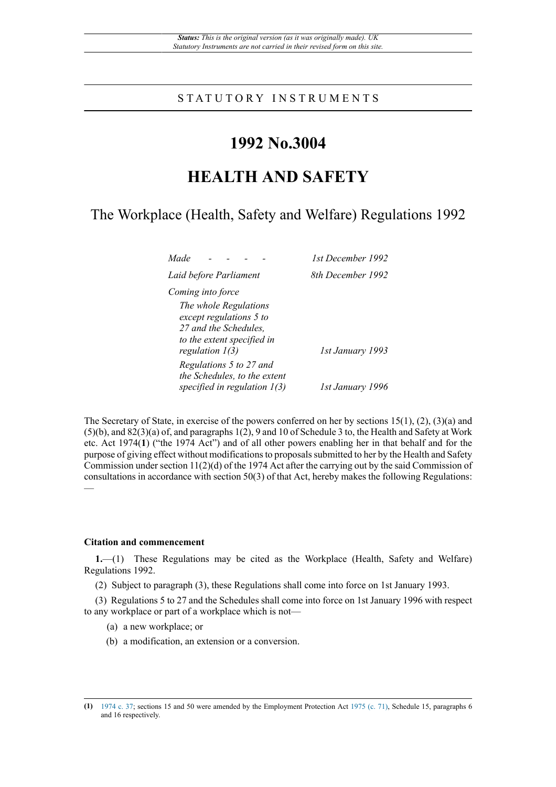### S T A T U T O R Y I N S T R U M E N T S

# **1992 No.3004**

# **HEALTH AND SAFETY**

The Workplace (Health, Safety and Welfare) Regulations 1992

| Made                                                                                                    | 1st December 1992 |
|---------------------------------------------------------------------------------------------------------|-------------------|
| Laid before Parliament                                                                                  | 8th December 1992 |
| Coming into force                                                                                       |                   |
| The whole Regulations<br>except regulations 5 to<br>27 and the Schedules,<br>to the extent specified in |                   |
| regulation $1(3)$<br>Regulations 5 to 27 and<br>the Schedules, to the extent                            | 1st January 1993  |
| specified in regulation $1(3)$                                                                          | 1st January 1996  |

The Secretary of State, in exercise of the powers conferred on her by sections 15(1), (2), (3)(a) and (5)(b), and 82(3)(a) of, and paragraphs 1(2), 9 and 10 of Schedule 3 to, the Health and Safety at Work etc. Act 1974(**1**) ("the 1974 Act") and of all other powers enabling her in that behalf and for the purpose of giving effect without modifications to proposals submitted to her by the Health and Safety Commission under section 11(2)(d) of the 1974 Act after the carrying out by the said Commission of consultations in accordance with section 50(3) of that Act, hereby makes the following Regulations: —

#### **Citation and commencement**

**1.**—(1) These Regulations may be cited as the Workplace (Health, Safety and Welfare) Regulations 1992.

(2) Subject to paragraph (3), these Regulations shall come into force on 1st January 1993.

(3) Regulations 5 to 27 and the Schedules shall come into force on 1st January 1996 with respect to any workplace or part of a workplace which is not—

(a) a new workplace; or

(b) a modification, an extension or a conversion.

**<sup>(1)</sup>** [1974 c. 37](http://www.legislation.gov.uk/id/ukpga/1974/37); sections 15 and 50 were amended by the Employment Protection Act [1975 \(c. 71\)](http://www.legislation.gov.uk/id/ukpga/1975/71), Schedule 15, paragraphs 6 and 16 respectively.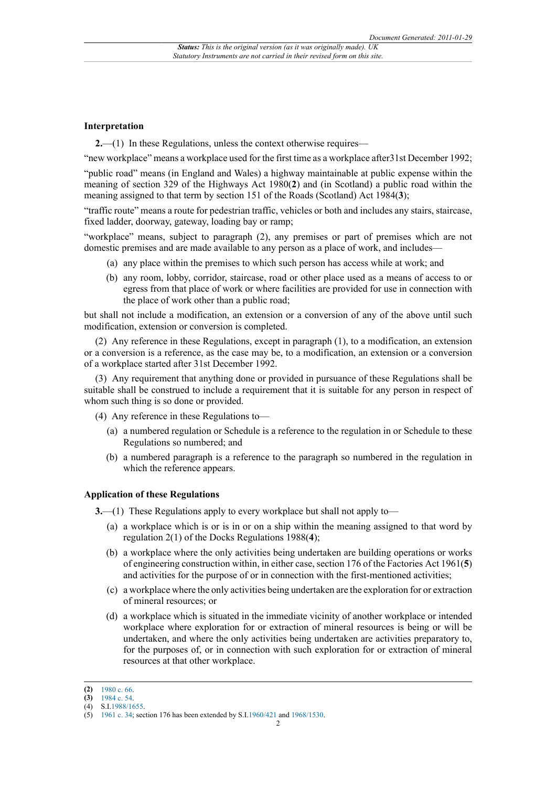#### **Interpretation**

**2.**—(1) In these Regulations, unless the context otherwise requires—

"new workplace" means a workplace used for the first time as a workplace after31st December 1992;

"public road" means (in England and Wales) a highway maintainable at public expense within the meaning of section 329 of the Highways Act 1980(**2**) and (in Scotland) a public road within the meaning assigned to that term by section 151 of the Roads (Scotland) Act 1984(**3**);

"traffic route" means a route for pedestrian traffic, vehicles or both and includes any stairs, staircase, fixed ladder, doorway, gateway, loading bay or ramp;

"workplace" means, subject to paragraph (2), any premises or part of premises which are not domestic premises and are made available to any person as a place of work, and includes—

- (a) any place within the premises to which such person has access while at work; and
- (b) any room, lobby, corridor, staircase, road or other place used as a means of access to or egress from that place of work or where facilities are provided for use in connection with the place of work other than a public road;

but shall not include a modification, an extension or a conversion of any of the above until such modification, extension or conversion is completed.

(2) Any reference in these Regulations, except in paragraph (1), to a modification, an extension or a conversion is a reference, as the case may be, to a modification, an extension or a conversion of a workplace started after 31st December 1992.

(3) Any requirement that anything done or provided in pursuance of these Regulations shall be suitable shall be construed to include a requirement that it is suitable for any person in respect of whom such thing is so done or provided.

(4) Any reference in these Regulations to—

- (a) a numbered regulation or Schedule is a reference to the regulation in or Schedule to these Regulations so numbered; and
- (b) a numbered paragraph is a reference to the paragraph so numbered in the regulation in which the reference appears.

#### **Application of these Regulations**

**3.**—(1) These Regulations apply to every workplace but shall not apply to—

- (a) a workplace which is or is in or on a ship within the meaning assigned to that word by regulation 2(1) of the Docks Regulations 1988(**4**);
- (b) a workplace where the only activities being undertaken are building operations or works of engineering construction within, in either case, section 176 of the Factories Act 1961(**5**) and activities for the purpose of or in connection with the first-mentioned activities;
- (c) a workplace where the only activities being undertaken are the exploration for or extraction of mineral resources; or
- (d) a workplace which is situated in the immediate vicinity of another workplace or intended workplace where exploration for or extraction of mineral resources is being or will be undertaken, and where the only activities being undertaken are activities preparatory to, for the purposes of, or in connection with such exploration for or extraction of mineral resources at that other workplace.

**<sup>(2)</sup>** [1980 c. 66.](http://www.legislation.gov.uk/id/ukpga/1980/66)

**<sup>(3)</sup>** [1984 c. 54.](http://www.legislation.gov.uk/id/ukpga/1984/54) (4) S.I[.1988/1655](http://www.legislation.gov.uk/id/uksi/1988/1655).

<sup>(5)</sup> [1961 c. 34;](http://www.legislation.gov.uk/id/ukpga/1961/34) section 176 has been extended by S.I[.1960/421](http://www.legislation.gov.uk/id/uksi/1960/421) and [1968/1530](http://www.legislation.gov.uk/id/uksi/1968/1530).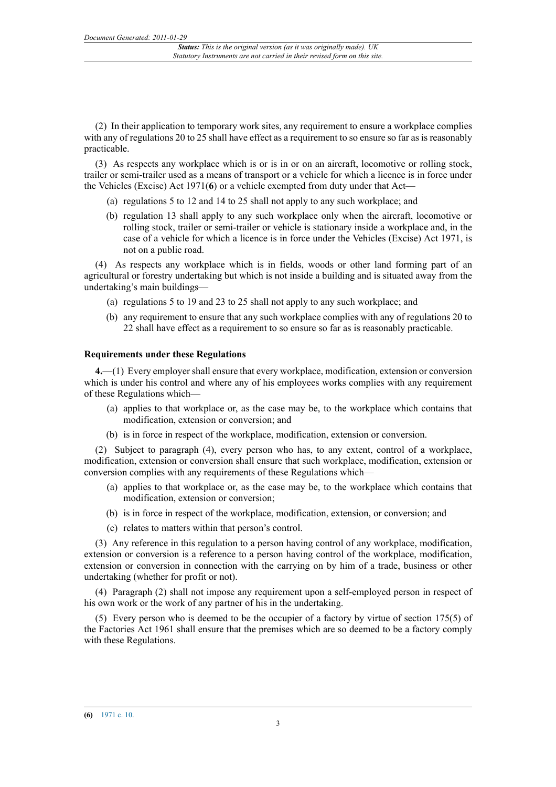(2) In their application to temporary work sites, any requirement to ensure a workplace complies with any of regulations 20 to 25 shall have effect as a requirement to so ensure so far as is reasonably practicable.

(3) As respects any workplace which is or is in or on an aircraft, locomotive or rolling stock, trailer or semi-trailer used as a means of transport or a vehicle for which a licence is in force under the Vehicles (Excise) Act 1971(**6**) or a vehicle exempted from duty under that Act—

- (a) regulations 5 to 12 and 14 to 25 shall not apply to any such workplace; and
- (b) regulation 13 shall apply to any such workplace only when the aircraft, locomotive or rolling stock, trailer or semi-trailer or vehicle is stationary inside a workplace and, in the case of a vehicle for which a licence is in force under the Vehicles (Excise) Act 1971, is not on a public road.

(4) As respects any workplace which is in fields, woods or other land forming part of an agricultural or forestry undertaking but which is not inside a building and is situated away from the undertaking's main buildings—

- (a) regulations 5 to 19 and 23 to 25 shall not apply to any such workplace; and
- (b) any requirement to ensure that any such workplace complies with any of regulations 20 to 22 shall have effect as a requirement to so ensure so far as is reasonably practicable.

#### **Requirements under these Regulations**

**4.**—(1) Every employer shall ensure that every workplace, modification, extension or conversion which is under his control and where any of his employees works complies with any requirement of these Regulations which—

- (a) applies to that workplace or, as the case may be, to the workplace which contains that modification, extension or conversion; and
- (b) is in force in respect of the workplace, modification, extension or conversion.

(2) Subject to paragraph (4), every person who has, to any extent, control of a workplace, modification, extension or conversion shall ensure that such workplace, modification, extension or conversion complies with any requirements of these Regulations which—

- (a) applies to that workplace or, as the case may be, to the workplace which contains that modification, extension or conversion;
- (b) is in force in respect of the workplace, modification, extension, or conversion; and
- (c) relates to matters within that person's control.

(3) Any reference in this regulation to a person having control of any workplace, modification, extension or conversion is a reference to a person having control of the workplace, modification, extension or conversion in connection with the carrying on by him of a trade, business or other undertaking (whether for profit or not).

(4) Paragraph (2) shall not impose any requirement upon a self-employed person in respect of his own work or the work of any partner of his in the undertaking.

(5) Every person who is deemed to be the occupier of a factory by virtue of section 175(5) of the Factories Act 1961 shall ensure that the premises which are so deemed to be a factory comply with these Regulations.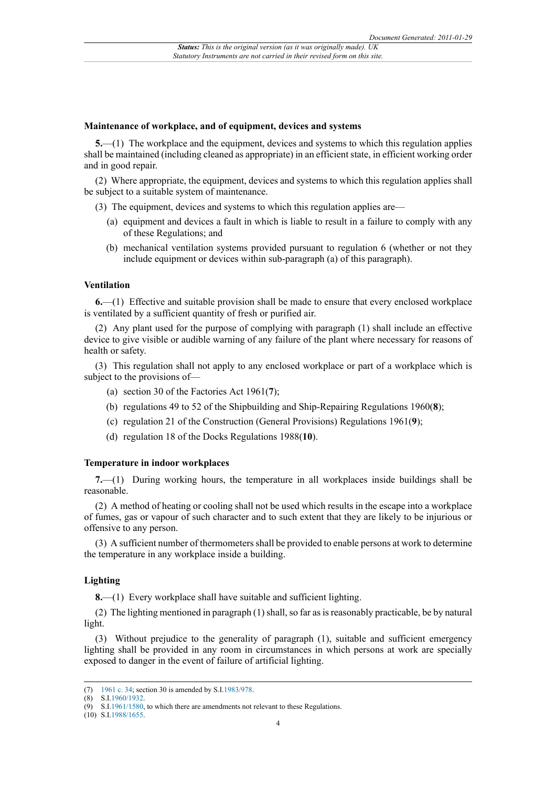#### **Maintenance of workplace, and of equipment, devices and systems**

**5.**—(1) The workplace and the equipment, devices and systems to which this regulation applies shall be maintained (including cleaned as appropriate) in an efficient state, in efficient working order and in good repair.

(2) Where appropriate, the equipment, devices and systems to which this regulation applies shall be subject to a suitable system of maintenance.

- (3) The equipment, devices and systems to which this regulation applies are—
	- (a) equipment and devices a fault in which is liable to result in a failure to comply with any of these Regulations; and
	- (b) mechanical ventilation systems provided pursuant to regulation 6 (whether or not they include equipment or devices within sub-paragraph (a) of this paragraph).

#### **Ventilation**

**6.**—(1) Effective and suitable provision shall be made to ensure that every enclosed workplace is ventilated by a sufficient quantity of fresh or purified air.

(2) Any plant used for the purpose of complying with paragraph (1) shall include an effective device to give visible or audible warning of any failure of the plant where necessary for reasons of health or safety.

(3) This regulation shall not apply to any enclosed workplace or part of a workplace which is subject to the provisions of—

- (a) section 30 of the Factories Act 1961(**7**);
- (b) regulations 49 to 52 of the Shipbuilding and Ship-Repairing Regulations 1960(**8**);
- (c) regulation 21 of the Construction (General Provisions) Regulations 1961(**9**);
- (d) regulation 18 of the Docks Regulations 1988(**10**).

#### **Temperature in indoor workplaces**

**7.**—(1) During working hours, the temperature in all workplaces inside buildings shall be reasonable.

(2) A method of heating or cooling shall not be used which results in the escape into a workplace of fumes, gas or vapour of such character and to such extent that they are likely to be injurious or offensive to any person.

(3) A sufficient number of thermometers shall be provided to enable persons at work to determine the temperature in any workplace inside a building.

#### **Lighting**

**8.**—(1) Every workplace shall have suitable and sufficient lighting.

(2) The lighting mentioned in paragraph (1) shall, so far as is reasonably practicable, be by natural light.

(3) Without prejudice to the generality of paragraph (1), suitable and sufficient emergency lighting shall be provided in any room in circumstances in which persons at work are specially exposed to danger in the event of failure of artificial lighting.

<sup>(7)</sup> [1961 c. 34;](http://www.legislation.gov.uk/id/ukpga/1961/34) section 30 is amended by S.I.[1983/978.](http://www.legislation.gov.uk/id/uksi/1983/978)

<sup>(8)</sup> S.I[.1960/1932](http://www.legislation.gov.uk/id/uksi/1960/1932).

<sup>(9)</sup> S.I[.1961/1580](http://www.legislation.gov.uk/id/uksi/1961/1580), to which there are amendments not relevant to these Regulations. (10) S.I[.1988/1655](http://www.legislation.gov.uk/id/uksi/1988/1655).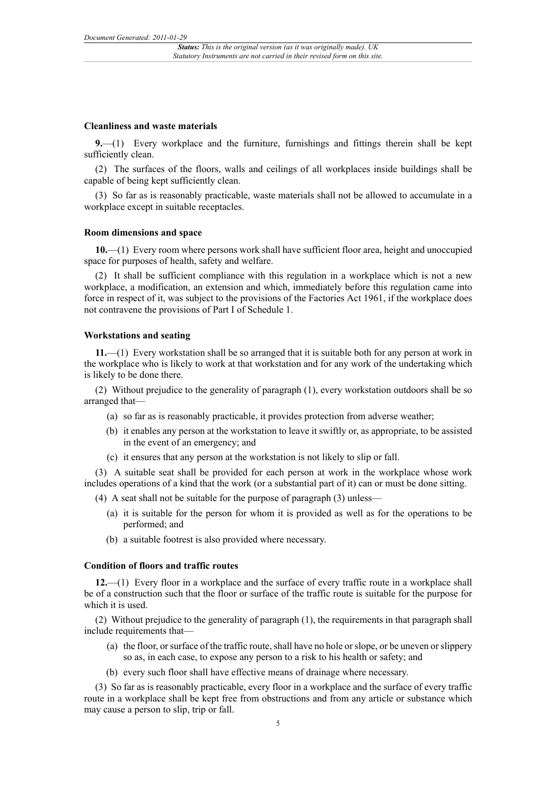#### **Cleanliness and waste materials**

**9.**—(1) Every workplace and the furniture, furnishings and fittings therein shall be kept sufficiently clean.

(2) The surfaces of the floors, walls and ceilings of all workplaces inside buildings shall be capable of being kept sufficiently clean.

(3) So far as is reasonably practicable, waste materials shall not be allowed to accumulate in a workplace except in suitable receptacles.

#### **Room dimensions and space**

**10.**—(1) Every room where persons work shall have sufficient floor area, height and unoccupied space for purposes of health, safety and welfare.

(2) It shall be sufficient compliance with this regulation in a workplace which is not a new workplace, a modification, an extension and which, immediately before this regulation came into force in respect of it, was subject to the provisions of the Factories Act 1961, if the workplace does not contravene the provisions of Part I of Schedule 1.

#### **Workstations and seating**

**11.**—(1) Every workstation shall be so arranged that it is suitable both for any person at work in the workplace who is likely to work at that workstation and for any work of the undertaking which is likely to be done there.

(2) Without prejudice to the generality of paragraph (1), every workstation outdoors shall be so arranged that—

- (a) so far as is reasonably practicable, it provides protection from adverse weather;
- (b) it enables any person at the workstation to leave it swiftly or, as appropriate, to be assisted in the event of an emergency; and
- (c) it ensures that any person at the workstation is not likely to slip or fall.

(3) A suitable seat shall be provided for each person at work in the workplace whose work includes operations of a kind that the work (or a substantial part of it) can or must be done sitting.

(4) A seat shall not be suitable for the purpose of paragraph (3) unless—

- (a) it is suitable for the person for whom it is provided as well as for the operations to be performed; and
- (b) a suitable footrest is also provided where necessary.

#### **Condition of floors and traffic routes**

**12.**—(1) Every floor in a workplace and the surface of every traffic route in a workplace shall be of a construction such that the floor or surface of the traffic route is suitable for the purpose for which it is used.

(2) Without prejudice to the generality of paragraph (1), the requirements in that paragraph shall include requirements that—

- (a) the floor, or surface of the traffic route, shall have no hole or slope, or be uneven or slippery so as, in each case, to expose any person to a risk to his health or safety; and
- (b) every such floor shall have effective means of drainage where necessary.

(3) So far as is reasonably practicable, every floor in a workplace and the surface of every traffic route in a workplace shall be kept free from obstructions and from any article or substance which may cause a person to slip, trip or fall.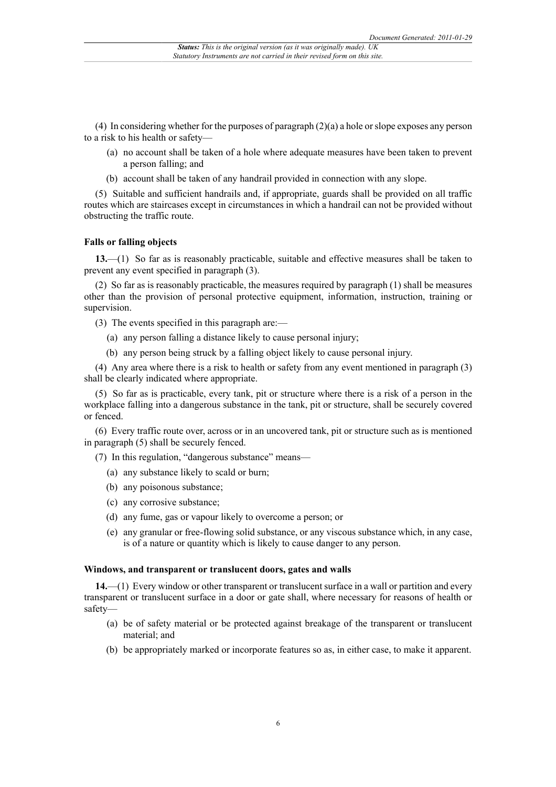(4) In considering whether for the purposes of paragraph (2)(a) a hole or slope exposes any person to a risk to his health or safety—

- (a) no account shall be taken of a hole where adequate measures have been taken to prevent a person falling; and
- (b) account shall be taken of any handrail provided in connection with any slope.

(5) Suitable and sufficient handrails and, if appropriate, guards shall be provided on all traffic routes which are staircases except in circumstances in which a handrail can not be provided without obstructing the traffic route.

#### **Falls or falling objects**

**13.**—(1) So far as is reasonably practicable, suitable and effective measures shall be taken to prevent any event specified in paragraph (3).

(2) So far as is reasonably practicable, the measures required by paragraph (1) shall be measures other than the provision of personal protective equipment, information, instruction, training or supervision.

- (3) The events specified in this paragraph are:—
	- (a) any person falling a distance likely to cause personal injury;
	- (b) any person being struck by a falling object likely to cause personal injury.

(4) Any area where there is a risk to health or safety from any event mentioned in paragraph (3) shall be clearly indicated where appropriate.

(5) So far as is practicable, every tank, pit or structure where there is a risk of a person in the workplace falling into a dangerous substance in the tank, pit or structure, shall be securely covered or fenced.

(6) Every traffic route over, across or in an uncovered tank, pit or structure such as is mentioned in paragraph (5) shall be securely fenced.

- (7) In this regulation, "dangerous substance" means—
	- (a) any substance likely to scald or burn;
	- (b) any poisonous substance;
	- (c) any corrosive substance;
	- (d) any fume, gas or vapour likely to overcome a person; or
	- (e) any granular or free-flowing solid substance, or any viscous substance which, in any case, is of a nature or quantity which is likely to cause danger to any person.

#### **Windows, and transparent or translucent doors, gates and walls**

**14.**—(1) Every window or other transparent or translucent surface in a wall or partition and every transparent or translucent surface in a door or gate shall, where necessary for reasons of health or safety—

- (a) be of safety material or be protected against breakage of the transparent or translucent material; and
- (b) be appropriately marked or incorporate features so as, in either case, to make it apparent.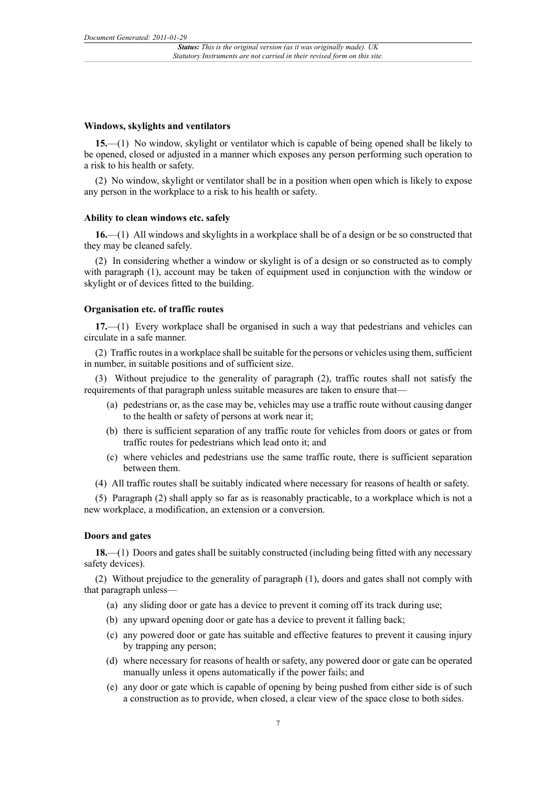#### **Windows, skylights and ventilators**

**15.**—(1) No window, skylight or ventilator which is capable of being opened shall be likely to be opened, closed or adjusted in a manner which exposes any person performing such operation to a risk to his health or safety.

(2) No window, skylight or ventilator shall be in a position when open which is likely to expose any person in the workplace to a risk to his health or safety.

#### **Ability to clean windows etc. safely**

**16.**—(1) All windows and skylights in a workplace shall be of a design or be so constructed that they may be cleaned safely.

(2) In considering whether a window or skylight is of a design or so constructed as to comply with paragraph (1), account may be taken of equipment used in conjunction with the window or skylight or of devices fitted to the building.

#### **Organisation etc. of traffic routes**

**17.**—(1) Every workplace shall be organised in such a way that pedestrians and vehicles can circulate in a safe manner.

(2) Traffic routes in a workplace shall be suitable for the persons or vehicles using them, sufficient in number, in suitable positions and of sufficient size.

(3) Without prejudice to the generality of paragraph (2), traffic routes shall not satisfy the requirements of that paragraph unless suitable measures are taken to ensure that—

- (a) pedestrians or, as the case may be, vehicles may use a traffic route without causing danger to the health or safety of persons at work near it;
- (b) there is sufficient separation of any traffic route for vehicles from doors or gates or from traffic routes for pedestrians which lead onto it; and
- (c) where vehicles and pedestrians use the same traffic route, there is sufficient separation between them.
- (4) All traffic routes shall be suitably indicated where necessary for reasons of health or safety.

(5) Paragraph (2) shall apply so far as is reasonably practicable, to a workplace which is not a new workplace, a modification, an extension or a conversion.

#### **Doors and gates**

**18.**—(1) Doors and gates shall be suitably constructed (including being fitted with any necessary safety devices).

(2) Without prejudice to the generality of paragraph (1), doors and gates shall not comply with that paragraph unless—

- (a) any sliding door or gate has a device to prevent it coming off its track during use;
- (b) any upward opening door or gate has a device to prevent it falling back;
- (c) any powered door or gate has suitable and effective features to prevent it causing injury by trapping any person;
- (d) where necessary for reasons of health or safety, any powered door or gate can be operated manually unless it opens automatically if the power fails; and
- (e) any door or gate which is capable of opening by being pushed from either side is of such a construction as to provide, when closed, a clear view of the space close to both sides.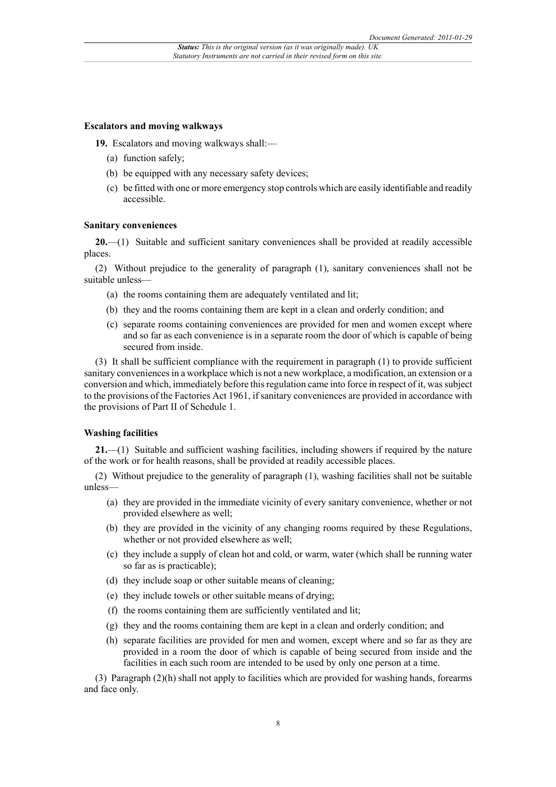#### **Escalators and moving walkways**

**19.** Escalators and moving walkways shall:—

- (a) function safely;
- (b) be equipped with any necessary safety devices;
- (c) be fitted with one or more emergency stop controls which are easily identifiable and readily accessible.

#### **Sanitary conveniences**

**20.**—(1) Suitable and sufficient sanitary conveniences shall be provided at readily accessible places.

(2) Without prejudice to the generality of paragraph (1), sanitary conveniences shall not be suitable unless—

- (a) the rooms containing them are adequately ventilated and lit;
- (b) they and the rooms containing them are kept in a clean and orderly condition; and
- (c) separate rooms containing conveniences are provided for men and women except where and so far as each convenience is in a separate room the door of which is capable of being secured from inside.

(3) It shall be sufficient compliance with the requirement in paragraph (1) to provide sufficient sanitary conveniences in a workplace which is not a new workplace, a modification, an extension or a conversion and which, immediately before this regulation came into force in respect of it, was subject to the provisions of the Factories Act 1961, if sanitary conveniences are provided in accordance with the provisions of Part II of Schedule 1.

#### **Washing facilities**

**21.**—(1) Suitable and sufficient washing facilities, including showers if required by the nature of the work or for health reasons, shall be provided at readily accessible places.

(2) Without prejudice to the generality of paragraph (1), washing facilities shall not be suitable unless—

- (a) they are provided in the immediate vicinity of every sanitary convenience, whether or not provided elsewhere as well;
- (b) they are provided in the vicinity of any changing rooms required by these Regulations, whether or not provided elsewhere as well:
- (c) they include a supply of clean hot and cold, or warm, water (which shall be running water so far as is practicable);
- (d) they include soap or other suitable means of cleaning;
- (e) they include towels or other suitable means of drying;
- (f) the rooms containing them are sufficiently ventilated and lit;
- (g) they and the rooms containing them are kept in a clean and orderly condition; and
- (h) separate facilities are provided for men and women, except where and so far as they are provided in a room the door of which is capable of being secured from inside and the facilities in each such room are intended to be used by only one person at a time.

(3) Paragraph (2)(h) shall not apply to facilities which are provided for washing hands, forearms and face only.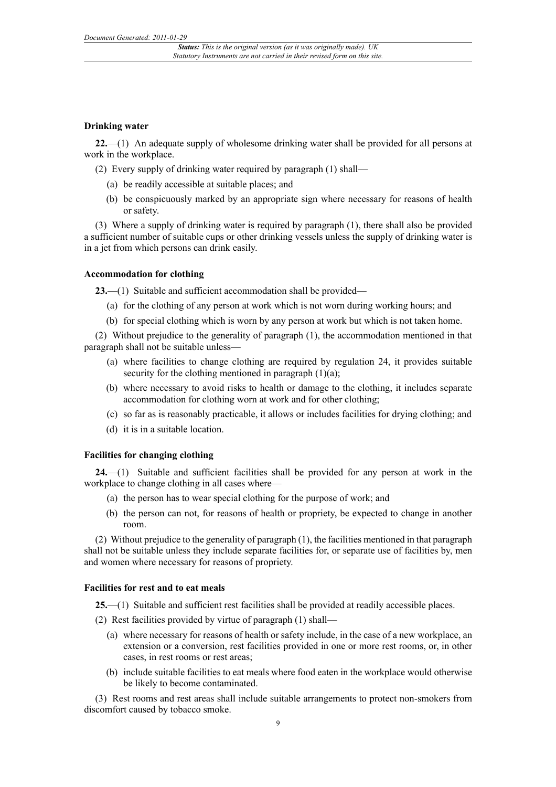#### **Drinking water**

**22.**—(1) An adequate supply of wholesome drinking water shall be provided for all persons at work in the workplace.

- (2) Every supply of drinking water required by paragraph (1) shall—
	- (a) be readily accessible at suitable places; and
	- (b) be conspicuously marked by an appropriate sign where necessary for reasons of health or safety.

(3) Where a supply of drinking water is required by paragraph (1), there shall also be provided a sufficient number of suitable cups or other drinking vessels unless the supply of drinking water is in a jet from which persons can drink easily.

#### **Accommodation for clothing**

**23.**—(1) Suitable and sufficient accommodation shall be provided—

- (a) for the clothing of any person at work which is not worn during working hours; and
- (b) for special clothing which is worn by any person at work but which is not taken home.

(2) Without prejudice to the generality of paragraph (1), the accommodation mentioned in that paragraph shall not be suitable unless—

- (a) where facilities to change clothing are required by regulation 24, it provides suitable security for the clothing mentioned in paragraph  $(1)(a)$ ;
- (b) where necessary to avoid risks to health or damage to the clothing, it includes separate accommodation for clothing worn at work and for other clothing;
- (c) so far as is reasonably practicable, it allows or includes facilities for drying clothing; and
- (d) it is in a suitable location.

#### **Facilities for changing clothing**

**24.**—(1) Suitable and sufficient facilities shall be provided for any person at work in the workplace to change clothing in all cases where—

- (a) the person has to wear special clothing for the purpose of work; and
- (b) the person can not, for reasons of health or propriety, be expected to change in another room.

(2) Without prejudice to the generality of paragraph (1), the facilities mentioned in that paragraph shall not be suitable unless they include separate facilities for, or separate use of facilities by, men and women where necessary for reasons of propriety.

#### **Facilities for rest and to eat meals**

**25.**—(1) Suitable and sufficient rest facilities shall be provided at readily accessible places.

- (2) Rest facilities provided by virtue of paragraph (1) shall—
	- (a) where necessary for reasons of health or safety include, in the case of a new workplace, an extension or a conversion, rest facilities provided in one or more rest rooms, or, in other cases, in rest rooms or rest areas;
	- (b) include suitable facilities to eat meals where food eaten in the workplace would otherwise be likely to become contaminated.

(3) Rest rooms and rest areas shall include suitable arrangements to protect non-smokers from discomfort caused by tobacco smoke.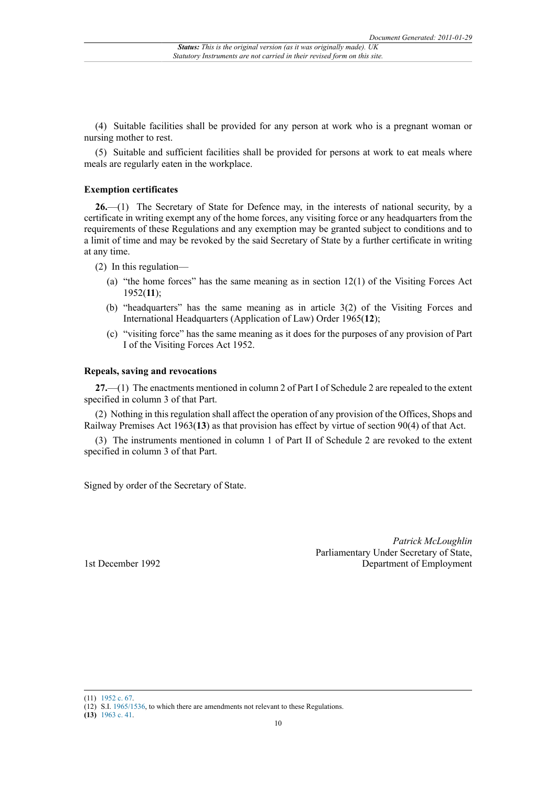(4) Suitable facilities shall be provided for any person at work who is a pregnant woman or nursing mother to rest.

(5) Suitable and sufficient facilities shall be provided for persons at work to eat meals where meals are regularly eaten in the workplace.

#### **Exemption certificates**

**26.**—(1) The Secretary of State for Defence may, in the interests of national security, by a certificate in writing exempt any of the home forces, any visiting force or any headquarters from the requirements of these Regulations and any exemption may be granted subject to conditions and to a limit of time and may be revoked by the said Secretary of State by a further certificate in writing at any time.

- (2) In this regulation—
	- (a) "the home forces" has the same meaning as in section 12(1) of the Visiting Forces Act 1952(**11**);
	- (b) "headquarters" has the same meaning as in article 3(2) of the Visiting Forces and International Headquarters (Application of Law) Order 1965(**12**);
	- (c) "visiting force" has the same meaning as it does for the purposes of any provision of Part I of the Visiting Forces Act 1952.

#### **Repeals, saving and revocations**

**27.**—(1) The enactments mentioned in column 2 of Part I of Schedule 2 are repealed to the extent specified in column 3 of that Part.

(2) Nothing in this regulation shall affect the operation of any provision of the Offices, Shops and Railway Premises Act 1963(**13**) as that provision has effect by virtue of section 90(4) of that Act.

(3) The instruments mentioned in column 1 of Part II of Schedule 2 are revoked to the extent specified in column 3 of that Part.

Signed by order of the Secretary of State.

*Patrick McLoughlin* Parliamentary Under Secretary of State, Department of Employment

1st December 1992

<sup>(11)</sup> [1952 c. 67.](http://www.legislation.gov.uk/id/ukpga/1952/67)

 $(12)$  S.I. [1965/1536](http://www.legislation.gov.uk/id/uksi/1965/1536), to which there are amendments not relevant to these Regulations.

**<sup>(13)</sup>** [1963 c. 41.](http://www.legislation.gov.uk/id/ukpga/1963/41)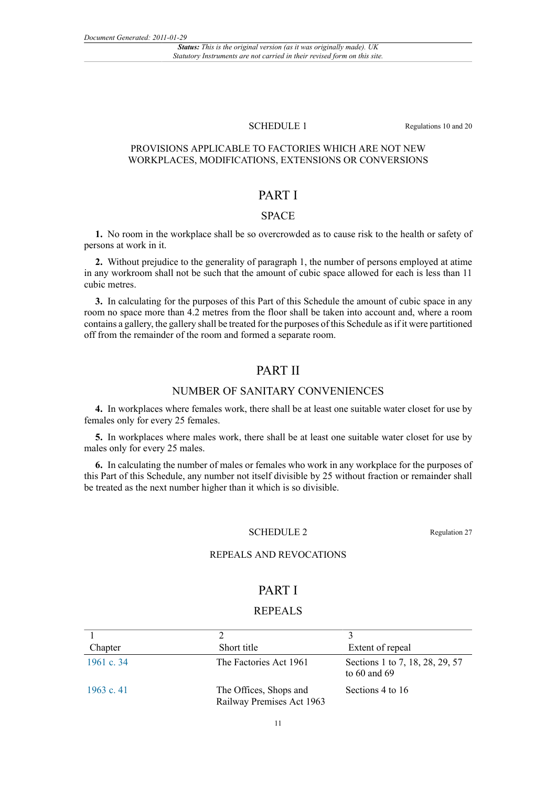SCHEDULE 1 Regulations 10 and 20

### PROVISIONS APPLICABLE TO FACTORIES WHICH ARE NOT NEW WORKPLACES, MODIFICATIONS, EXTENSIONS OR CONVERSIONS

### PART I

#### **SPACE**

**1.** No room in the workplace shall be so overcrowded as to cause risk to the health or safety of persons at work in it.

**2.** Without prejudice to the generality of paragraph 1, the number of persons employed at atime in any workroom shall not be such that the amount of cubic space allowed for each is less than 11 cubic metres.

**3.** In calculating for the purposes of this Part of this Schedule the amount of cubic space in any room no space more than 4.2 metres from the floor shall be taken into account and, where a room contains a gallery, the gallery shall be treated for the purposes of this Schedule as if it were partitioned off from the remainder of the room and formed a separate room.

### PART II

#### NUMBER OF SANITARY CONVENIENCES

**4.** In workplaces where females work, there shall be at least one suitable water closet for use by females only for every 25 females.

**5.** In workplaces where males work, there shall be at least one suitable water closet for use by males only for every 25 males.

**6.** In calculating the number of males or females who work in any workplace for the purposes of this Part of this Schedule, any number not itself divisible by 25 without fraction or remainder shall be treated as the next number higher than it which is so divisible.

#### SCHEDULE 2 Regulation 27

#### REPEALS AND REVOCATIONS

### PART I

#### REPEALS

| Chapter    | Short title                                         | Extent of repeal                                    |
|------------|-----------------------------------------------------|-----------------------------------------------------|
| 1961 c. 34 | The Factories Act 1961                              | Sections 1 to 7, 18, 28, 29, 57<br>to $60$ and $69$ |
| 1963 c. 41 | The Offices, Shops and<br>Railway Premises Act 1963 | Sections 4 to 16                                    |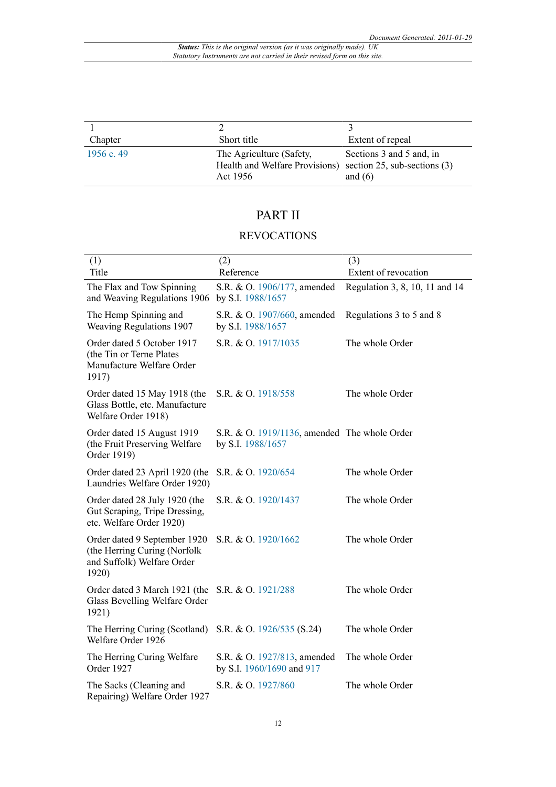| Chapter    | Short title                                                                                         | Extent of repeal                      |
|------------|-----------------------------------------------------------------------------------------------------|---------------------------------------|
| 1956 c. 49 | The Agriculture (Safety,<br>Health and Welfare Provisions) section 25, sub-sections (3)<br>Act 1956 | Sections 3 and 5 and, in<br>and $(6)$ |

# PART II

## REVOCATIONS

| (1)                                                                                                 | (2)                                                               | (3)                            |
|-----------------------------------------------------------------------------------------------------|-------------------------------------------------------------------|--------------------------------|
| Title                                                                                               | Reference                                                         | Extent of revocation           |
| The Flax and Tow Spinning<br>and Weaving Regulations 1906                                           | S.R. & O. 1906/177, amended<br>by S.I. 1988/1657                  | Regulation 3, 8, 10, 11 and 14 |
| The Hemp Spinning and<br>Weaving Regulations 1907                                                   | S.R. & O. 1907/660, amended<br>by S.I. 1988/1657                  | Regulations 3 to 5 and 8       |
| Order dated 5 October 1917<br>(the Tin or Terne Plates<br>Manufacture Welfare Order<br>1917)        | S.R. & O. 1917/1035                                               | The whole Order                |
| Order dated 15 May 1918 (the<br>Glass Bottle, etc. Manufacture<br>Welfare Order 1918)               | S.R. & O. 1918/558                                                | The whole Order                |
| Order dated 15 August 1919<br>(the Fruit Preserving Welfare<br>Order 1919)                          | S.R. & O. 1919/1136, amended The whole Order<br>by S.I. 1988/1657 |                                |
| Order dated 23 April 1920 (the<br>Laundries Welfare Order 1920)                                     | S.R. & O. 1920/654                                                | The whole Order                |
| Order dated 28 July 1920 (the<br>Gut Scraping, Tripe Dressing,<br>etc. Welfare Order 1920)          | S.R. & O. 1920/1437                                               | The whole Order                |
| Order dated 9 September 1920<br>(the Herring Curing (Norfolk<br>and Suffolk) Welfare Order<br>1920) | S.R. & O. 1920/1662                                               | The whole Order                |
| Order dated 3 March 1921 (the S.R. & O. 1921/288)<br>Glass Bevelling Welfare Order<br>1921)         |                                                                   | The whole Order                |
| The Herring Curing (Scotland)<br>Welfare Order 1926                                                 | S.R. & O. 1926/535 (S.24)                                         | The whole Order                |
| The Herring Curing Welfare<br>Order 1927                                                            | S.R. & O. 1927/813, amended<br>by S.I. 1960/1690 and 917          | The whole Order                |
| The Sacks (Cleaning and<br>Repairing) Welfare Order 1927                                            | S.R. & O. 1927/860                                                | The whole Order                |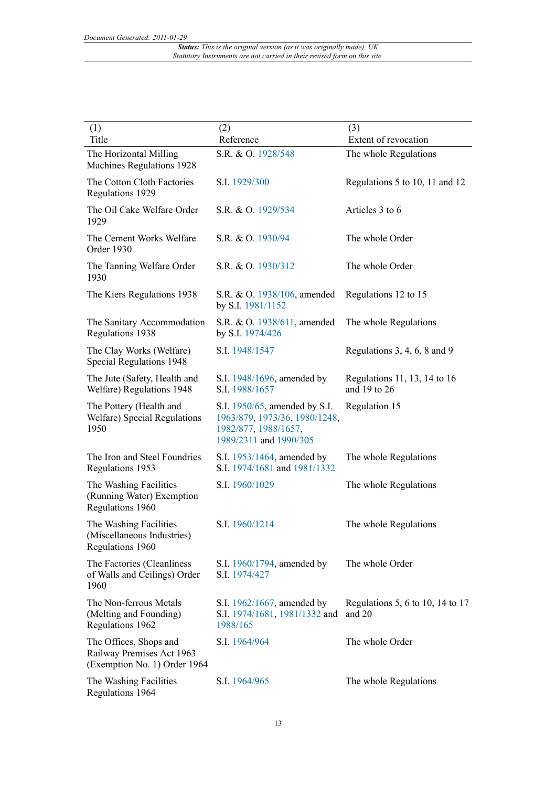| (1)<br>Title                                                                        | (2)<br>Reference                                                                                                 | (3)<br>Extent of revocation                  |
|-------------------------------------------------------------------------------------|------------------------------------------------------------------------------------------------------------------|----------------------------------------------|
| The Horizontal Milling<br>Machines Regulations 1928                                 | S.R. & O. 1928/548                                                                                               | The whole Regulations                        |
| The Cotton Cloth Factories<br>Regulations 1929                                      | S.I. 1929/300                                                                                                    | Regulations 5 to 10, 11 and 12               |
| The Oil Cake Welfare Order<br>1929                                                  | S.R. & O. 1929/534                                                                                               | Articles 3 to 6                              |
| The Cement Works Welfare<br>Order 1930                                              | S.R. & O. 1930/94                                                                                                | The whole Order                              |
| The Tanning Welfare Order<br>1930                                                   | S.R. & O. 1930/312                                                                                               | The whole Order                              |
| The Kiers Regulations 1938                                                          | S.R. & O. 1938/106, amended<br>by S.I. 1981/1152                                                                 | Regulations 12 to 15                         |
| The Sanitary Accommodation<br>Regulations 1938                                      | S.R. & O. 1938/611, amended<br>by S.I. 1974/426                                                                  | The whole Regulations                        |
| The Clay Works (Welfare)<br>Special Regulations 1948                                | S.I. 1948/1547                                                                                                   | Regulations $3, 4, 6, 8$ and $9$             |
| The Jute (Safety, Health and<br>Welfare) Regulations 1948                           | S.I. 1948/1696, amended by<br>S.I. 1988/1657                                                                     | Regulations 11, 13, 14 to 16<br>and 19 to 26 |
| The Pottery (Health and<br>Welfare) Special Regulations<br>1950                     | S.I. 1950/65, amended by S.I.<br>1963/879, 1973/36, 1980/1248,<br>1982/877, 1988/1657,<br>1989/2311 and 1990/305 | Regulation 15                                |
| The Iron and Steel Foundries<br>Regulations 1953                                    | S.I. 1953/1464, amended by<br>S.I. 1974/1681 and 1981/1332                                                       | The whole Regulations                        |
| The Washing Facilities<br>(Running Water) Exemption<br>Regulations 1960             | S.I. 1960/1029                                                                                                   | The whole Regulations                        |
| The Washing Facilities<br>(Miscellaneous Industries)<br>Regulations 1960            | S.I. 1960/1214                                                                                                   | The whole Regulations                        |
| The Factories (Cleanliness<br>of Walls and Ceilings) Order<br>1960                  | S.I. 1960/1794, amended by<br>S.I. 1974/427                                                                      | The whole Order                              |
| The Non-ferrous Metals<br>(Melting and Founding)<br>Regulations 1962                | S.I. 1962/1667, amended by<br>S.I. 1974/1681, 1981/1332 and<br>1988/165                                          | Regulations 5, 6 to 10, 14 to 17<br>and 20   |
| The Offices, Shops and<br>Railway Premises Act 1963<br>(Exemption No. 1) Order 1964 | S.I. 1964/964                                                                                                    | The whole Order                              |
| The Washing Facilities<br>Regulations 1964                                          | S.I. 1964/965                                                                                                    | The whole Regulations                        |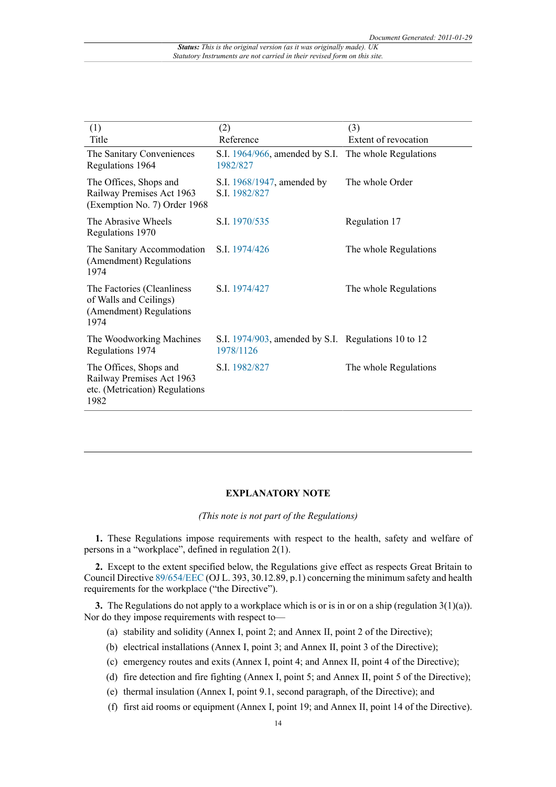| (1)                                                                                           | (2)                                                              | (3)                   |
|-----------------------------------------------------------------------------------------------|------------------------------------------------------------------|-----------------------|
| Title                                                                                         | Reference                                                        | Extent of revocation  |
| The Sanitary Conveniences<br>Regulations 1964                                                 | S.I. 1964/966, amended by S.I. The whole Regulations<br>1982/827 |                       |
| The Offices, Shops and<br>Railway Premises Act 1963<br>(Exemption No. 7) Order 1968           | S.I. 1968/1947, amended by<br>S.I. 1982/827                      | The whole Order       |
| The Abrasive Wheels<br>Regulations 1970                                                       | S.I. 1970/535                                                    | Regulation 17         |
| The Sanitary Accommodation<br>(Amendment) Regulations<br>1974                                 | S.I. 1974/426                                                    | The whole Regulations |
| The Factories (Cleanliness)<br>of Walls and Ceilings)<br>(Amendment) Regulations<br>1974      | S.I. 1974/427                                                    | The whole Regulations |
| The Woodworking Machines<br>Regulations 1974                                                  | S.I. 1974/903, amended by S.I. Regulations 10 to 12<br>1978/1126 |                       |
| The Offices, Shops and<br>Railway Premises Act 1963<br>etc. (Metrication) Regulations<br>1982 | S.I. 1982/827                                                    | The whole Regulations |

#### **EXPLANATORY NOTE**

*(This note is not part of the Regulations)*

**1.** These Regulations impose requirements with respect to the health, safety and welfare of persons in a "workplace", defined in regulation 2(1).

**2.** Except to the extent specified below, the Regulations give effect as respects Great Britain to Council Directive [89/654/EEC](http://www.opsi.gov.uk/legislation/european/directive/1989/0654) (OJ L. 393, 30.12.89, p.1) concerning the minimum safety and health requirements for the workplace ("the Directive").

**3.** The Regulations do not apply to a workplace which is or is in or on a ship (regulation  $3(1)(a)$ ). Nor do they impose requirements with respect to—

- (a) stability and solidity (Annex I, point 2; and Annex II, point 2 of the Directive);
- (b) electrical installations (Annex I, point 3; and Annex II, point 3 of the Directive);
- (c) emergency routes and exits (Annex I, point 4; and Annex II, point 4 of the Directive);
- (d) fire detection and fire fighting (Annex I, point 5; and Annex II, point 5 of the Directive);
- (e) thermal insulation (Annex I, point 9.1, second paragraph, of the Directive); and
- (f) first aid rooms or equipment (Annex I, point 19; and Annex II, point 14 of the Directive).